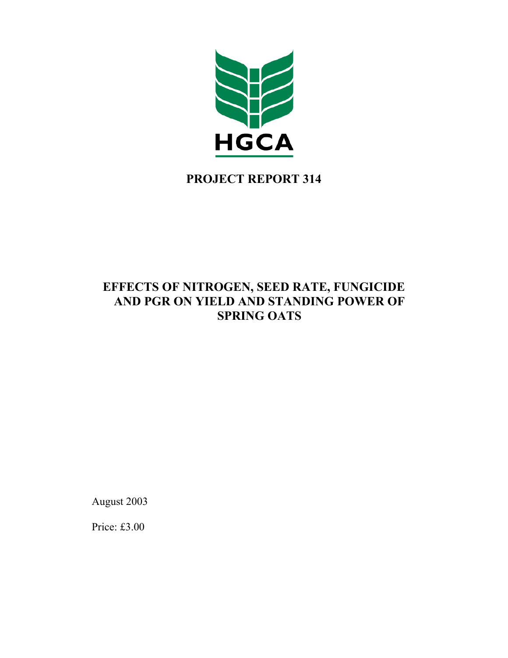

# **PROJECT REPORT 314**

# **EFFECTS OF NITROGEN, SEED RATE, FUNGICIDE AND PGR ON YIELD AND STANDING POWER OF SPRING OATS**

August 2003

Price: £3.00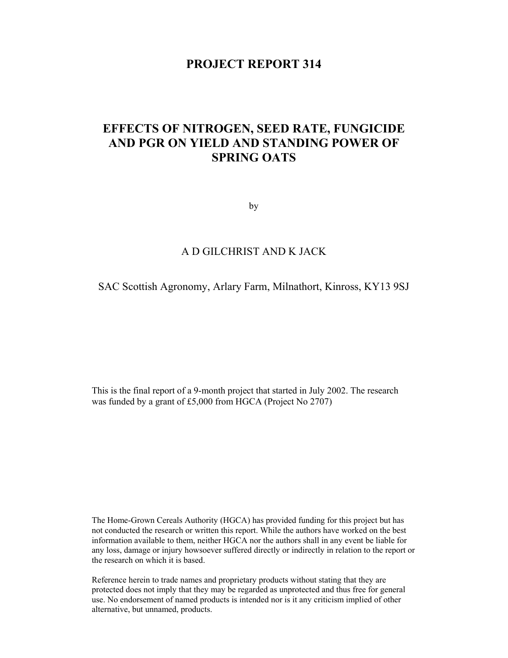## **PROJECT REPORT 314**

# **EFFECTS OF NITROGEN, SEED RATE, FUNGICIDE AND PGR ON YIELD AND STANDING POWER OF SPRING OATS**

by

## A D GILCHRIST AND K JACK

### SAC Scottish Agronomy, Arlary Farm, Milnathort, Kinross, KY13 9SJ

This is the final report of a 9-month project that started in July 2002. The research was funded by a grant of £5,000 from HGCA (Project No 2707)

The Home-Grown Cereals Authority (HGCA) has provided funding for this project but has not conducted the research or written this report. While the authors have worked on the best information available to them, neither HGCA nor the authors shall in any event be liable for any loss, damage or injury howsoever suffered directly or indirectly in relation to the report or the research on which it is based.

Reference herein to trade names and proprietary products without stating that they are protected does not imply that they may be regarded as unprotected and thus free for general use. No endorsement of named products is intended nor is it any criticism implied of other alternative, but unnamed, products.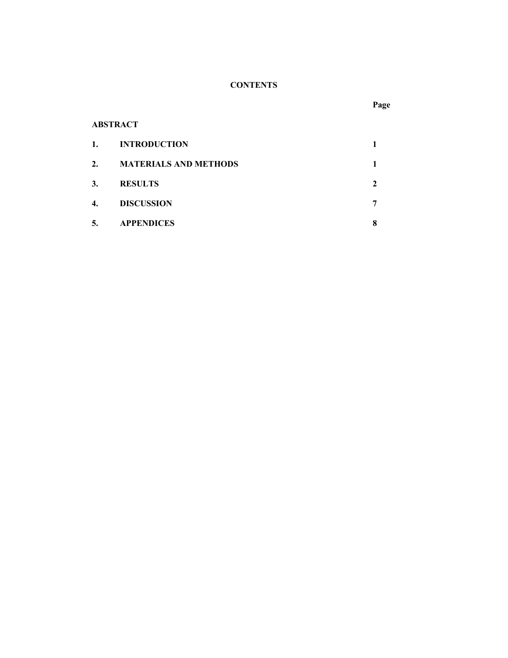# **CONTENTS**

## **ABSTRACT**

| 1. | <b>INTRODUCTION</b>          |   |
|----|------------------------------|---|
| 2. | <b>MATERIALS AND METHODS</b> |   |
| 3. | <b>RESULTS</b>               |   |
| 4. | <b>DISCUSSION</b>            |   |
| 5. | <b>APPENDICES</b>            | 8 |

#### **Page**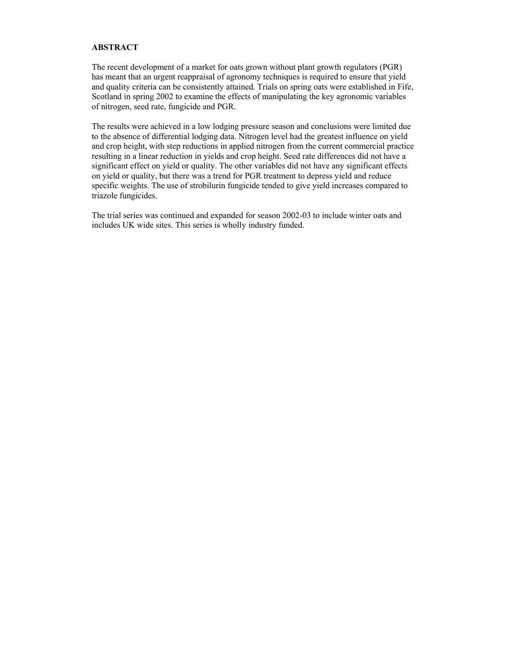#### **ABSTRACT**

The recent development of a market for oats grown without plant growth regulators (PGR) has meant that an urgent reappraisal of agronomy techniques is required to ensure that yield and quality criteria can be consistently attained. Trials on spring oats were established in Fife, Scotland in spring 2002 to examine the effects of manipulating the key agronomic variables of nitrogen, seed rate, fungicide and PGR.

The results were achieved in a low lodging pressure season and conclusions were limited due to the absence of differential lodging data. Nitrogen level had the greatest influence on yield and crop height, with step reductions in applied nitrogen from the current commercial practice resulting in a linear reduction in yields and crop height. Seed rate differences did not have a significant effect on yield or quality. The other variables did not have any significant effects on yield or quality, but there was a trend for PGR treatment to depress yield and reduce specific weights. The use of strobilurin fungicide tended to give yield increases compared to triazole fungicides.

The trial series was continued and expanded for season 2002-03 to include winter oats and includes UK wide sites. This series is wholly industry funded.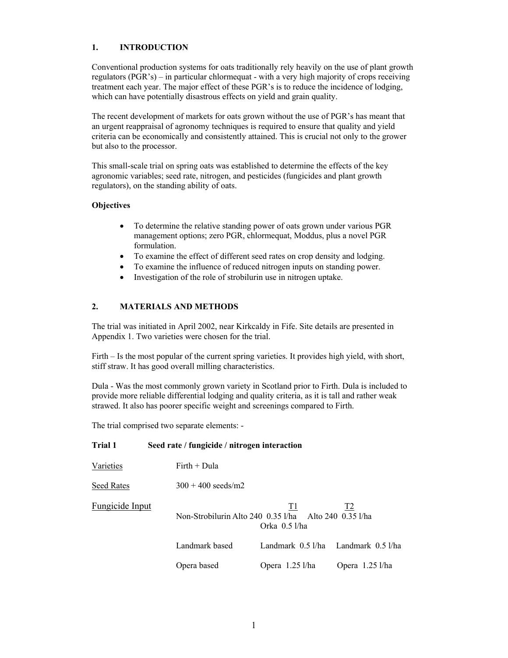#### **1. INTRODUCTION**

Conventional production systems for oats traditionally rely heavily on the use of plant growth regulators (PGR's) – in particular chlormequat - with a very high majority of crops receiving treatment each year. The major effect of these PGR's is to reduce the incidence of lodging, which can have potentially disastrous effects on yield and grain quality.

The recent development of markets for oats grown without the use of PGR's has meant that an urgent reappraisal of agronomy techniques is required to ensure that quality and yield criteria can be economically and consistently attained. This is crucial not only to the grower but also to the processor.

This small-scale trial on spring oats was established to determine the effects of the key agronomic variables; seed rate, nitrogen, and pesticides (fungicides and plant growth regulators), on the standing ability of oats.

#### **Objectives**

- To determine the relative standing power of oats grown under various PGR management options; zero PGR, chlormequat, Moddus, plus a novel PGR formulation.
- To examine the effect of different seed rates on crop density and lodging.
- To examine the influence of reduced nitrogen inputs on standing power.
- Investigation of the role of strobilurin use in nitrogen uptake.

### **2. MATERIALS AND METHODS**

The trial was initiated in April 2002, near Kirkcaldy in Fife. Site details are presented in Appendix 1. Two varieties were chosen for the trial.

Firth – Is the most popular of the current spring varieties. It provides high yield, with short, stiff straw. It has good overall milling characteristics.

Dula - Was the most commonly grown variety in Scotland prior to Firth. Dula is included to provide more reliable differential lodging and quality criteria, as it is tall and rather weak strawed. It also has poorer specific weight and screenings compared to Firth.

The trial comprised two separate elements: -

| Trial 1                | Seed rate / fungicide / nitrogen interaction |                                                                                        |                   |
|------------------------|----------------------------------------------|----------------------------------------------------------------------------------------|-------------------|
| Varieties              | $Firth + Dula$                               |                                                                                        |                   |
| Seed Rates             | $300 + 400$ seeds/m2                         |                                                                                        |                   |
| <b>Fungicide Input</b> |                                              | T1<br>Non-Strobilurin Alto 240 $(0.35)$ l/ha Alto 240 $(0.35)$ l/ha<br>Orka $0.5$ l/ha | <u>T2</u>         |
|                        | Landmark based                               | Landmark $0.5$ l/ha                                                                    | Landmark 0.5 l/ha |
|                        | Opera based                                  | Opera $1.25$ l/ha                                                                      | Opera $1.25$ l/ha |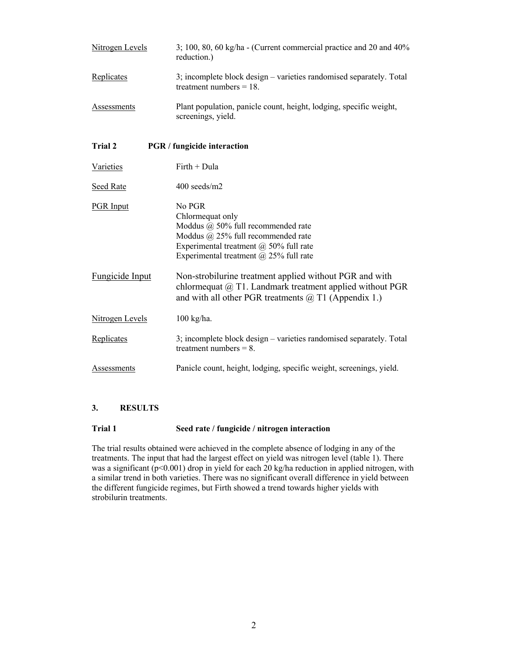| <b>Nitrogen Levels</b> | 3; 100, 80, 60 kg/ha - (Current commercial practice and 20 and 40%)<br>reduction.)                                                                                                                       |  |  |
|------------------------|----------------------------------------------------------------------------------------------------------------------------------------------------------------------------------------------------------|--|--|
| Replicates             | 3; incomplete block design - varieties randomised separately. Total<br>treatment numbers $= 18$ .                                                                                                        |  |  |
| Assessments            | Plant population, panicle count, height, lodging, specific weight,<br>screenings, yield.                                                                                                                 |  |  |
| Trial 2                | <b>PGR</b> / fungicide interaction                                                                                                                                                                       |  |  |
| Varieties              | Firth + Dula                                                                                                                                                                                             |  |  |
| Seed Rate              | $400$ seeds/m2                                                                                                                                                                                           |  |  |
| <b>PGR Input</b>       | No PGR<br>Chlormequat only<br>Moddus $@$ 50% full recommended rate<br>Moddus $(a)$ 25% full recommended rate<br>Experimental treatment $(a)$ 50% full rate<br>Experimental treatment $(a)$ 25% full rate |  |  |
| <b>Fungicide Input</b> | Non-strobilurine treatment applied without PGR and with<br>chlormequat $@$ T1. Landmark treatment applied without PGR<br>and with all other PGR treatments $(a)$ T1 (Appendix 1.)                        |  |  |
| Nitrogen Levels        | 100 kg/ha.                                                                                                                                                                                               |  |  |
| Replicates             | 3; incomplete block design – varieties randomised separately. Total<br>treatment numbers $= 8$ .                                                                                                         |  |  |
| <b>Assessments</b>     | Panicle count, height, lodging, specific weight, screenings, yield.                                                                                                                                      |  |  |

### **3. RESULTS**

#### **Trial 1 Seed rate / fungicide / nitrogen interaction**

The trial results obtained were achieved in the complete absence of lodging in any of the treatments. The input that had the largest effect on yield was nitrogen level (table 1). There was a significant (p<0.001) drop in yield for each 20 kg/ha reduction in applied nitrogen, with a similar trend in both varieties. There was no significant overall difference in yield between the different fungicide regimes, but Firth showed a trend towards higher yields with strobilurin treatments.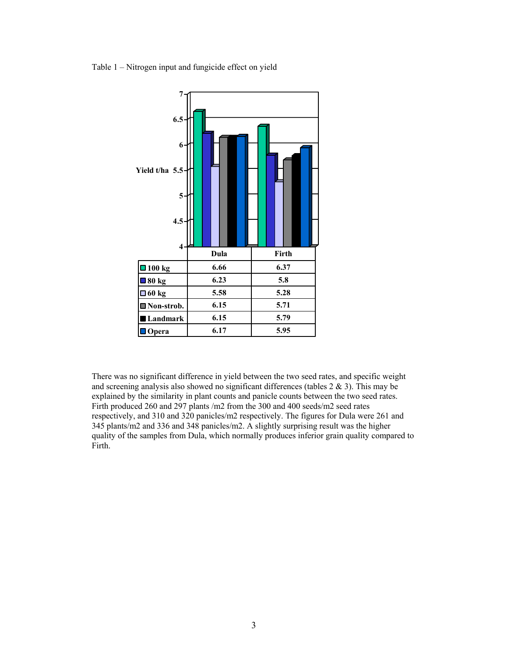Table 1 – Nitrogen input and fungicide effect on yield



There was no significant difference in yield between the two seed rates, and specific weight and screening analysis also showed no significant differences (tables  $2 \& 3$ ). This may be explained by the similarity in plant counts and panicle counts between the two seed rates. Firth produced 260 and 297 plants /m2 from the 300 and 400 seeds/m2 seed rates respectively, and 310 and 320 panicles/m2 respectively. The figures for Dula were 261 and 345 plants/m2 and 336 and 348 panicles/m2. A slightly surprising result was the higher quality of the samples from Dula, which normally produces inferior grain quality compared to Firth.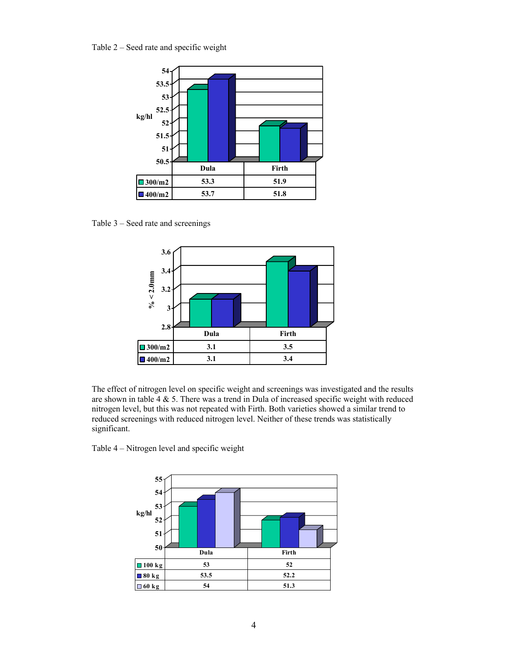Table 2 – Seed rate and specific weight



Table 3 – Seed rate and screenings



The effect of nitrogen level on specific weight and screenings was investigated and the results are shown in table 4  $\&$  5. There was a trend in Dula of increased specific weight with reduced nitrogen level, but this was not repeated with Firth. Both varieties showed a similar trend to reduced screenings with reduced nitrogen level. Neither of these trends was statistically significant.

Table 4 – Nitrogen level and specific weight

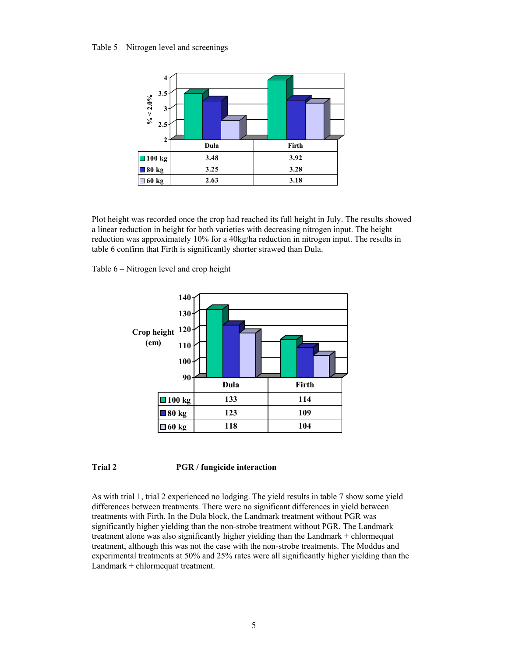Table 5 – Nitrogen level and screenings



Plot height was recorded once the crop had reached its full height in July. The results showed a linear reduction in height for both varieties with decreasing nitrogen input. The height reduction was approximately 10% for a 40kg/ha reduction in nitrogen input. The results in table 6 confirm that Firth is significantly shorter strawed than Dula.

Table 6 – Nitrogen level and crop height



#### **Trial 2 PGR / fungicide interaction**

As with trial 1, trial 2 experienced no lodging. The yield results in table 7 show some yield differences between treatments. There were no significant differences in yield between treatments with Firth. In the Dula block, the Landmark treatment without PGR was significantly higher yielding than the non-strobe treatment without PGR. The Landmark treatment alone was also significantly higher yielding than the Landmark + chlormequat treatment, although this was not the case with the non-strobe treatments. The Moddus and experimental treatments at 50% and 25% rates were all significantly higher yielding than the Landmark + chlormequat treatment.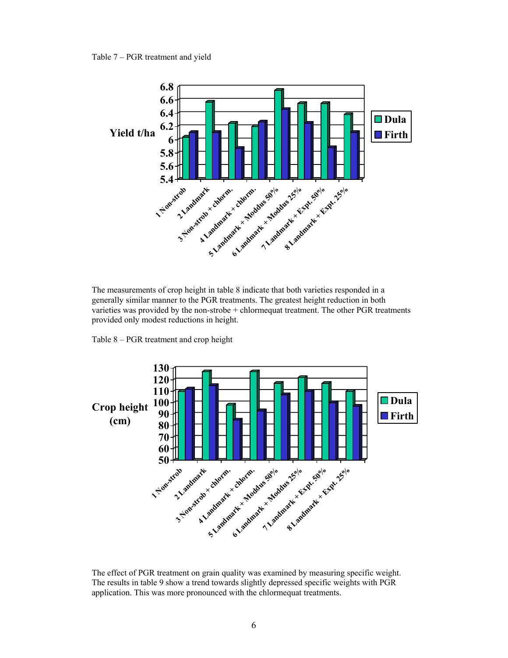Table 7 – PGR treatment and yield



The measurements of crop height in table 8 indicate that both varieties responded in a generally similar manner to the PGR treatments. The greatest height reduction in both varieties was provided by the non-strobe + chlormequat treatment. The other PGR treatments provided only modest reductions in height.

Table 8 – PGR treatment and crop height



The effect of PGR treatment on grain quality was examined by measuring specific weight. The results in table 9 show a trend towards slightly depressed specific weights with PGR application. This was more pronounced with the chlormequat treatments.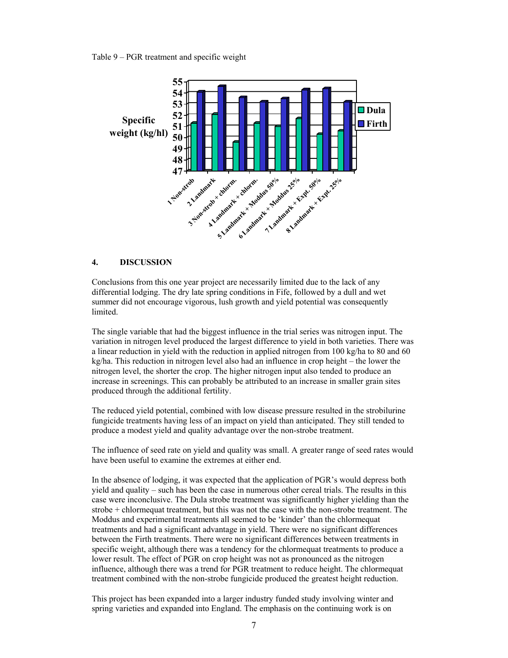Table 9 – PGR treatment and specific weight



#### **4. DISCUSSION**

Conclusions from this one year project are necessarily limited due to the lack of any differential lodging. The dry late spring conditions in Fife, followed by a dull and wet summer did not encourage vigorous, lush growth and yield potential was consequently limited.

The single variable that had the biggest influence in the trial series was nitrogen input. The variation in nitrogen level produced the largest difference to yield in both varieties. There was a linear reduction in yield with the reduction in applied nitrogen from 100 kg/ha to 80 and 60 kg/ha. This reduction in nitrogen level also had an influence in crop height – the lower the nitrogen level, the shorter the crop. The higher nitrogen input also tended to produce an increase in screenings. This can probably be attributed to an increase in smaller grain sites produced through the additional fertility.

The reduced yield potential, combined with low disease pressure resulted in the strobilurine fungicide treatments having less of an impact on yield than anticipated. They still tended to produce a modest yield and quality advantage over the non-strobe treatment.

The influence of seed rate on yield and quality was small. A greater range of seed rates would have been useful to examine the extremes at either end.

In the absence of lodging, it was expected that the application of PGR's would depress both yield and quality – such has been the case in numerous other cereal trials. The results in this case were inconclusive. The Dula strobe treatment was significantly higher yielding than the strobe + chlormequat treatment, but this was not the case with the non-strobe treatment. The Moddus and experimental treatments all seemed to be 'kinder' than the chlormequat treatments and had a significant advantage in yield. There were no significant differences between the Firth treatments. There were no significant differences between treatments in specific weight, although there was a tendency for the chlormequat treatments to produce a lower result. The effect of PGR on crop height was not as pronounced as the nitrogen influence, although there was a trend for PGR treatment to reduce height. The chlormequat treatment combined with the non-strobe fungicide produced the greatest height reduction.

This project has been expanded into a larger industry funded study involving winter and spring varieties and expanded into England. The emphasis on the continuing work is on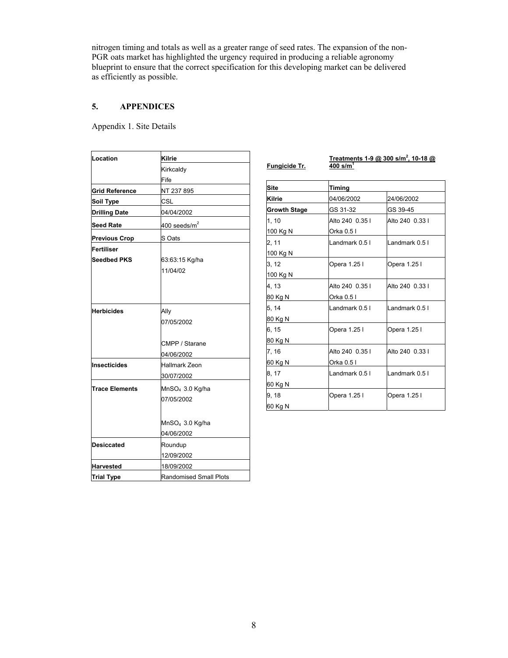nitrogen timing and totals as well as a greater range of seed rates. The expansion of the non-PGR oats market has highlighted the urgency required in producing a reliable agronomy blueprint to ensure that the correct specification for this developing market can be delivered as efficiently as possible.

 $\overline{\phantom{a}}$ 

## **5. APPENDICES**

Appendix 1. Site Details

| Location                         | Kilrie                                    |                                                                  |
|----------------------------------|-------------------------------------------|------------------------------------------------------------------|
|                                  | Kirkcaldy                                 | <u>Fu</u>                                                        |
|                                  | Fife                                      |                                                                  |
| <b>Grid Reference</b>            | NT 237 895                                | Sit                                                              |
| Soil Type                        | <b>CSL</b>                                | Kil                                                              |
| <b>Drilling Date</b>             | 04/04/2002                                | Gr                                                               |
| <b>Seed Rate</b>                 | 400 seeds/ $m^2$                          | 1, 1                                                             |
| <b>Previous Crop</b>             | S Oats                                    | 10<br>$2, \dot{ }$                                               |
| Fertiliser<br><b>Seedbed PKS</b> | 63:63:15 Kg/ha<br>11/04/02                | 10 <sub>0</sub><br>$3, \dot{ }$<br>10 <sub>0</sub><br>4, 1<br>80 |
| <b>Herbicides</b>                | Ally<br>07/05/2002                        | 5.<br>80<br>6. 1                                                 |
|                                  | CMPP / Starane<br>04/06/2002              | 80<br>7,                                                         |
| Insecticides                     | <b>Hallmark Zeon</b><br>30/07/2002        | 60<br>8. 1                                                       |
| <b>Trace Elements</b>            | MnSO <sub>4</sub> 3.0 Kg/ha<br>07/05/2002 | 60<br>9, 1<br>60                                                 |
|                                  | MnSO <sub>4</sub> 3.0 Kg/ha<br>04/06/2002 |                                                                  |
| <b>Desiccated</b>                | Roundup<br>12/09/2002                     |                                                                  |
| <b>Harvested</b>                 | 18/09/2002                                |                                                                  |
| <b>Trial Type</b>                | Randomised Small Plots                    |                                                                  |

| <b>Fungicide Tr.</b> | $400$ s/m <sup>1</sup> | <u>Treatments 1-9 @ 300 s/m<sup>2</sup>, 10-18 @</u> |  |  |
|----------------------|------------------------|------------------------------------------------------|--|--|
| <b>Site</b>          | Timing                 |                                                      |  |  |
| <b>Kilrie</b>        | 04/06/2002             | 24/06/2002                                           |  |  |
| <b>Growth Stage</b>  | GS 31-32               | GS 39-45                                             |  |  |
| 1, 10                | Alto 240 0.35 l        | Alto 240 0.33 l                                      |  |  |
| 100 Kg N             | Orka 0.5 I             |                                                      |  |  |
| 2, 11                | Landmark 0.5 l         | Landmark 0.5 l                                       |  |  |
| 100 Kg N             |                        |                                                      |  |  |
| 3, 12                | Opera 1.25 l           | Opera 1.25 l                                         |  |  |
| 100 Kg N             |                        |                                                      |  |  |
| 4.13                 | Alto 240 0.35 l        | Alto 240 0.33 l                                      |  |  |
| 80 Kg N              | Orka 0.5 I             |                                                      |  |  |
| 5, 14                | Landmark 0.5 I         | Landmark 0.5 l                                       |  |  |
| 80 Kg N              |                        |                                                      |  |  |
| 6, 15                | Opera 1.25 l           | Opera 1.25 l                                         |  |  |
| 80 Kg N              |                        |                                                      |  |  |
| 7, 16                | Alto 240 0.35 l        | Alto 240 0.33 l                                      |  |  |
| 60 Kg N              | Orka 0.5 I             |                                                      |  |  |
| 8, 17                | Landmark 0.5 l         | Landmark 0.5 I                                       |  |  |
| 60 Kg N              |                        |                                                      |  |  |
| 9, 18                | Opera 1.25 l           | Opera 1.25 l                                         |  |  |
| 60 Kg N              |                        |                                                      |  |  |